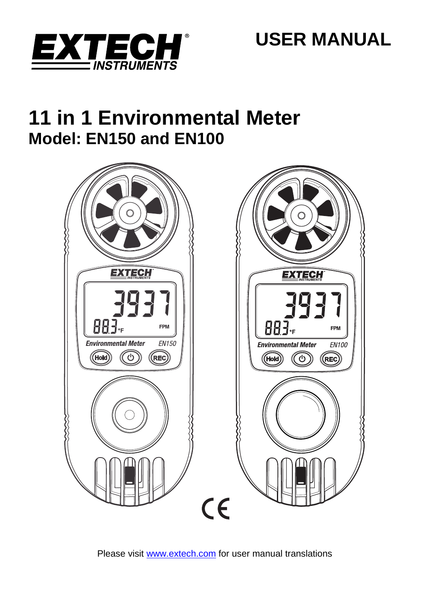

# **11 in 1 Environmental Meter Model: EN150 and EN100**



Please visit www.extech.com for user manual translations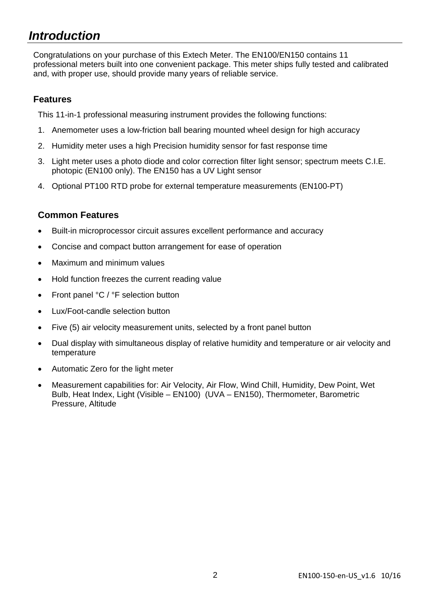## *Introduction*

Congratulations on your purchase of this Extech Meter. The EN100/EN150 contains 11 professional meters built into one convenient package. This meter ships fully tested and calibrated and, with proper use, should provide many years of reliable service.

### **Features**

This 11-in-1 professional measuring instrument provides the following functions:

- 1. Anemometer uses a low-friction ball bearing mounted wheel design for high accuracy
- 2. Humidity meter uses a high Precision humidity sensor for fast response time
- 3. Light meter uses a photo diode and color correction filter light sensor; spectrum meets C.I.E. photopic (EN100 only). The EN150 has a UV Light sensor
- 4. Optional PT100 RTD probe for external temperature measurements (EN100-PT)

### **Common Features**

- Built-in microprocessor circuit assures excellent performance and accuracy
- Concise and compact button arrangement for ease of operation
- Maximum and minimum values
- Hold function freezes the current reading value
- Front panel °C / °F selection button
- Lux/Foot-candle selection button
- Five (5) air velocity measurement units, selected by a front panel button
- Dual display with simultaneous display of relative humidity and temperature or air velocity and temperature
- Automatic Zero for the light meter
- Measurement capabilities for: Air Velocity, Air Flow, Wind Chill, Humidity, Dew Point, Wet Bulb, Heat Index, Light (Visible – EN100) (UVA – EN150), Thermometer, Barometric Pressure, Altitude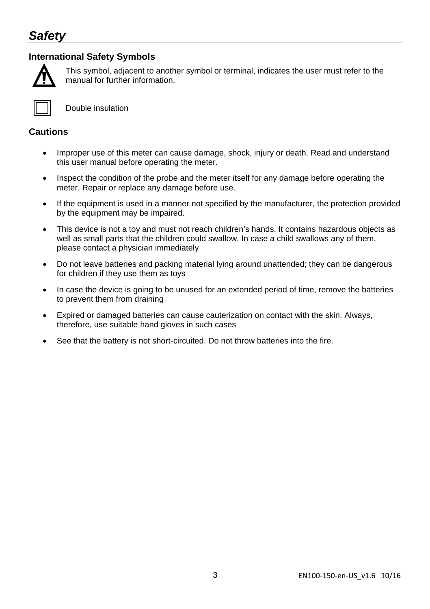## *Safety*

### **International Safety Symbols**



This symbol, adjacent to another symbol or terminal, indicates the user must refer to the manual for further information.



Double insulation

### **Cautions**

- Improper use of this meter can cause damage, shock, injury or death. Read and understand this user manual before operating the meter.
- Inspect the condition of the probe and the meter itself for any damage before operating the meter. Repair or replace any damage before use.
- If the equipment is used in a manner not specified by the manufacturer, the protection provided by the equipment may be impaired.
- This device is not a toy and must not reach children's hands. It contains hazardous objects as well as small parts that the children could swallow. In case a child swallows any of them, please contact a physician immediately
- Do not leave batteries and packing material lying around unattended; they can be dangerous for children if they use them as toys
- In case the device is going to be unused for an extended period of time, remove the batteries to prevent them from draining
- Expired or damaged batteries can cause cauterization on contact with the skin. Always, therefore, use suitable hand gloves in such cases
- See that the battery is not short-circuited. Do not throw batteries into the fire.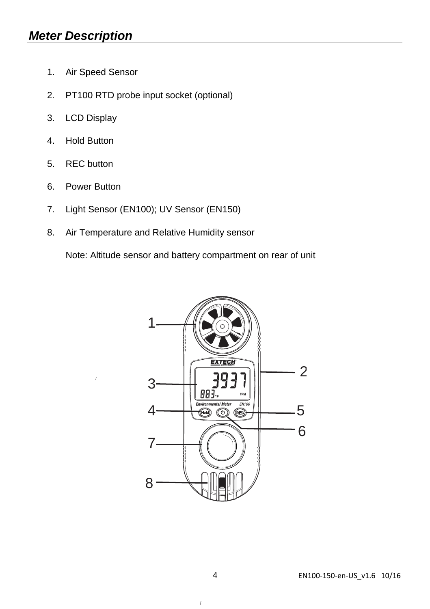- 1. Air Speed Sensor
- 2. PT100 RTD probe input socket (optional)
- 3. LCD Display
- 4. Hold Button
- 5. REC button
- 6. Power Button
- 7. Light Sensor (EN100); UV Sensor (EN150)
- 8. Air Temperature and Relative Humidity sensor

Note: Altitude sensor and battery compartment on rear of unit



 $\boldsymbol{I}$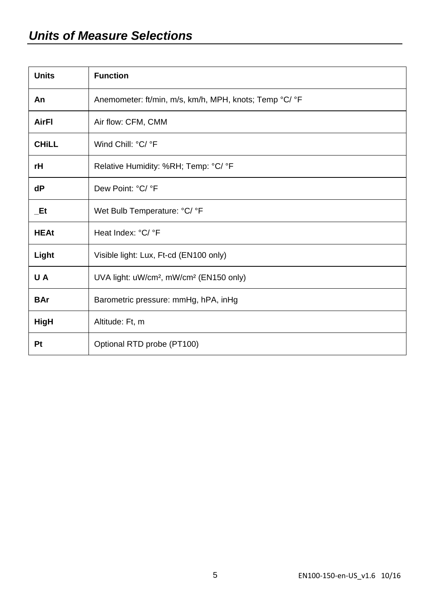## *Units of Measure Selections*

| <b>Units</b> | <b>Function</b>                                                 |
|--------------|-----------------------------------------------------------------|
| An           | Anemometer: ft/min, m/s, km/h, MPH, knots; Temp °C/ °F          |
| AirFl        | Air flow: CFM, CMM                                              |
| <b>CHILL</b> | Wind Chill: °C/ °F                                              |
| rH           | Relative Humidity: %RH; Temp: °C/ °F                            |
| dP           | Dew Point: °C/ °F                                               |
| Et           | Wet Bulb Temperature: °C/ °F                                    |
| <b>HEAt</b>  | Heat Index: °C/ °F                                              |
| Light        | Visible light: Lux, Ft-cd (EN100 only)                          |
| U A          | UVA light: uW/cm <sup>2</sup> , mW/cm <sup>2</sup> (EN150 only) |
| <b>BAr</b>   | Barometric pressure: mmHg, hPA, inHg                            |
| HigH         | Altitude: Ft, m                                                 |
| Pt           | Optional RTD probe (PT100)                                      |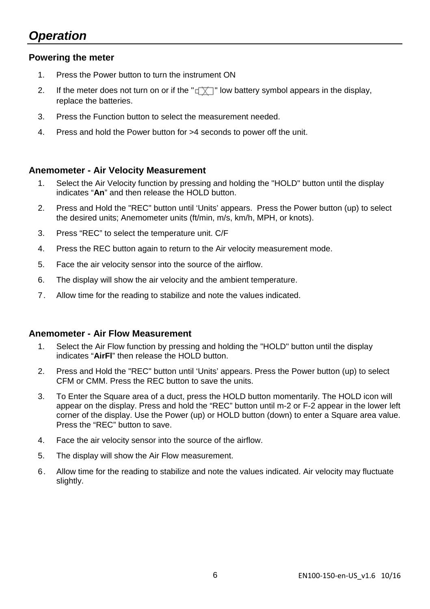## *Operation*

#### **Powering the meter**

- 1. Press the Power button to turn the instrument ON
- 2. If the meter does not turn on or if the " $\sqrt{X}$ " low battery symbol appears in the display, replace the batteries.
- 3. Press the Function button to select the measurement needed.
- 4. Press and hold the Power button for >4 seconds to power off the unit.

#### **Anemometer - Air Velocity Measurement**

- 1. Select the Air Velocity function by pressing and holding the "HOLD" button until the display indicates "**An**" and then release the HOLD button.
- 2. Press and Hold the "REC" button until 'Units' appears. Press the Power button (up) to select the desired units; Anemometer units (ft/min, m/s, km/h, MPH, or knots).
- 3. Press "REC" to select the temperature unit. C/F
- 4. Press the REC button again to return to the Air velocity measurement mode.
- 5. Face the air velocity sensor into the source of the airflow.
- 6. The display will show the air velocity and the ambient temperature.
- 7. Allow time for the reading to stabilize and note the values indicated.

#### **Anemometer - Air Flow Measurement**

- 1. Select the Air Flow function by pressing and holding the "HOLD" button until the display indicates "**AirFl**" then release the HOLD button.
- 2. Press and Hold the "REC" button until 'Units' appears. Press the Power button (up) to select CFM or CMM. Press the REC button to save the units.
- 3. To Enter the Square area of a duct, press the HOLD button momentarily. The HOLD icon will appear on the display. Press and hold the "REC" button until m-2 or F-2 appear in the lower left corner of the display. Use the Power (up) or HOLD button (down) to enter a Square area value. Press the "REC" button to save.
- 4. Face the air velocity sensor into the source of the airflow.
- 5. The display will show the Air Flow measurement.
- 6. Allow time for the reading to stabilize and note the values indicated. Air velocity may fluctuate slightly.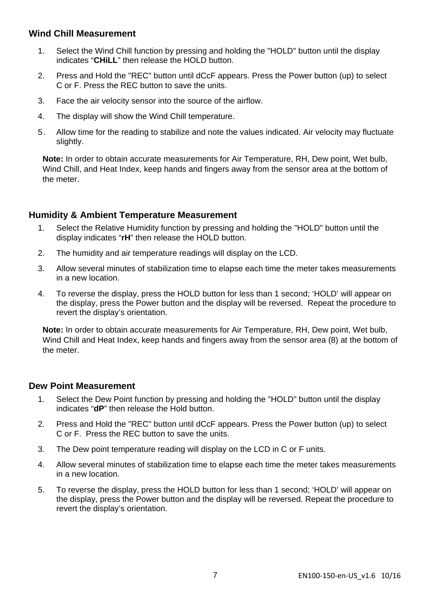#### **Wind Chill Measurement**

- 1. Select the Wind Chill function by pressing and holding the "HOLD" button until the display indicates "**CHiLL**" then release the HOLD button.
- 2. Press and Hold the "REC" button until dCcF appears. Press the Power button (up) to select C or F. Press the REC button to save the units.
- 3. Face the air velocity sensor into the source of the airflow.
- 4. The display will show the Wind Chill temperature.
- 5. Allow time for the reading to stabilize and note the values indicated. Air velocity may fluctuate slightly.

**Note:** In order to obtain accurate measurements for Air Temperature, RH, Dew point, Wet bulb, Wind Chill, and Heat Index, keep hands and fingers away from the sensor area at the bottom of the meter.

#### **Humidity & Ambient Temperature Measurement**

- 1. Select the Relative Humidity function by pressing and holding the "HOLD" button until the display indicates "**rH**" then release the HOLD button.
- 2. The humidity and air temperature readings will display on the LCD.
- 3. Allow several minutes of stabilization time to elapse each time the meter takes measurements in a new location.
- 4. To reverse the display, press the HOLD button for less than 1 second; 'HOLD' will appear on the display, press the Power button and the display will be reversed. Repeat the procedure to revert the display's orientation.

**Note:** In order to obtain accurate measurements for Air Temperature, RH, Dew point, Wet bulb, Wind Chill and Heat Index, keep hands and fingers away from the sensor area (8) at the bottom of the meter.

#### **Dew Point Measurement**

- 1. Select the Dew Point function by pressing and holding the "HOLD" button until the display indicates "**dP**" then release the Hold button.
- 2. Press and Hold the "REC" button until dCcF appears. Press the Power button (up) to select C or F. Press the REC button to save the units.
- 3. The Dew point temperature reading will display on the LCD in C or F units.
- 4. Allow several minutes of stabilization time to elapse each time the meter takes measurements in a new location.
- 5. To reverse the display, press the HOLD button for less than 1 second; 'HOLD' will appear on the display, press the Power button and the display will be reversed. Repeat the procedure to revert the display's orientation.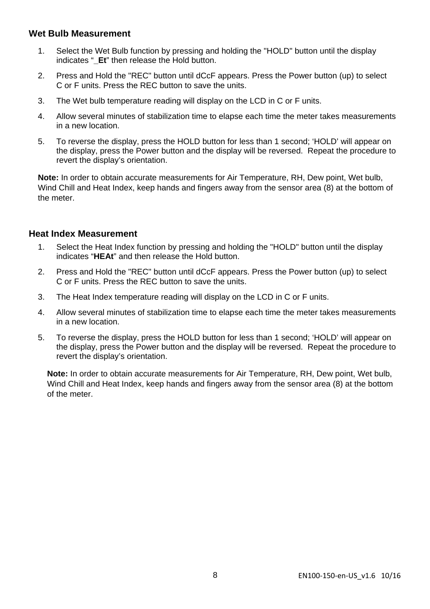#### **Wet Bulb Measurement**

- 1. Select the Wet Bulb function by pressing and holding the "HOLD" button until the display indicates "**\_Et**" then release the Hold button.
- 2. Press and Hold the "REC" button until dCcF appears. Press the Power button (up) to select C or F units. Press the REC button to save the units.
- 3. The Wet bulb temperature reading will display on the LCD in C or F units.
- 4. Allow several minutes of stabilization time to elapse each time the meter takes measurements in a new location.
- 5. To reverse the display, press the HOLD button for less than 1 second; 'HOLD' will appear on the display, press the Power button and the display will be reversed. Repeat the procedure to revert the display's orientation.

**Note:** In order to obtain accurate measurements for Air Temperature, RH, Dew point, Wet bulb, Wind Chill and Heat Index, keep hands and fingers away from the sensor area (8) at the bottom of the meter.

#### **Heat Index Measurement**

- 1. Select the Heat Index function by pressing and holding the "HOLD" button until the display indicates "**HEAt**" and then release the Hold button.
- 2. Press and Hold the "REC" button until dCcF appears. Press the Power button (up) to select C or F units. Press the REC button to save the units.
- 3. The Heat Index temperature reading will display on the LCD in C or F units.
- 4. Allow several minutes of stabilization time to elapse each time the meter takes measurements in a new location.
- 5. To reverse the display, press the HOLD button for less than 1 second; 'HOLD' will appear on the display, press the Power button and the display will be reversed. Repeat the procedure to revert the display's orientation.

**Note:** In order to obtain accurate measurements for Air Temperature, RH, Dew point, Wet bulb, Wind Chill and Heat Index, keep hands and fingers away from the sensor area (8) at the bottom of the meter.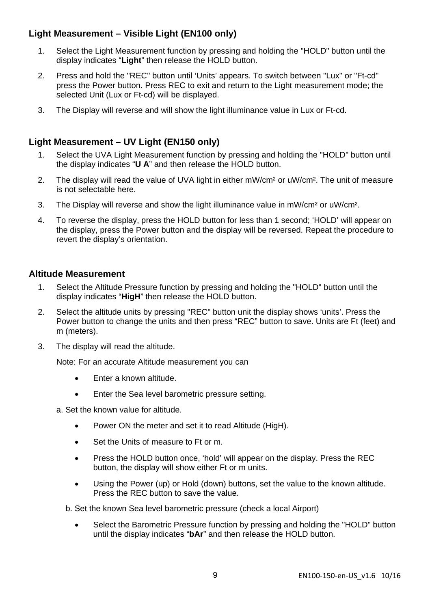## **Light Measurement – Visible Light (EN100 only)**

- 1. Select the Light Measurement function by pressing and holding the "HOLD" button until the display indicates "**Light**" then release the HOLD button.
- 2. Press and hold the "REC" button until 'Units' appears. To switch between "Lux" or "Ft-cd" press the Power button. Press REC to exit and return to the Light measurement mode; the selected Unit (Lux or Ft-cd) will be displayed.
- 3. The Display will reverse and will show the light illuminance value in Lux or Ft-cd.

### **Light Measurement – UV Light (EN150 only)**

- 1. Select the UVA Light Measurement function by pressing and holding the "HOLD" button until the display indicates "**U A**" and then release the HOLD button.
- 2. The display will read the value of UVA light in either mW/cm<sup>2</sup> or uW/cm<sup>2</sup>. The unit of measure is not selectable here.
- 3. The Display will reverse and show the light illuminance value in mW/cm² or uW/cm².
- 4. To reverse the display, press the HOLD button for less than 1 second; 'HOLD' will appear on the display, press the Power button and the display will be reversed. Repeat the procedure to revert the display's orientation.

#### **Altitude Measurement**

- 1. Select the Altitude Pressure function by pressing and holding the "HOLD" button until the display indicates "**HigH**" then release the HOLD button.
- 2. Select the altitude units by pressing "REC" button unit the display shows 'units'. Press the Power button to change the units and then press "REC" button to save. Units are Ft (feet) and m (meters).
- 3. The display will read the altitude.

Note: For an accurate Altitude measurement you can

- **Enter a known altitude.**
- **Enter the Sea level barometric pressure setting.**

a. Set the known value for altitude.

- Power ON the meter and set it to read Altitude (High).
- Set the Units of measure to Ft or m.
- Press the HOLD button once, 'hold' will appear on the display. Press the REC button, the display will show either Ft or m units.
- Using the Power (up) or Hold (down) buttons, set the value to the known altitude. Press the REC button to save the value.

b. Set the known Sea level barometric pressure (check a local Airport)

• Select the Barometric Pressure function by pressing and holding the "HOLD" button until the display indicates "**bAr**" and then release the HOLD button.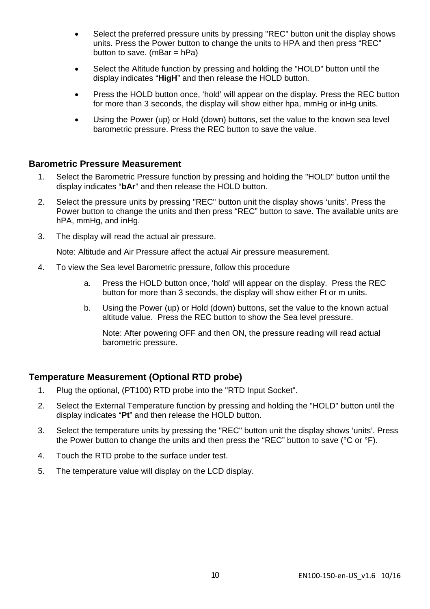- Select the preferred pressure units by pressing "REC" button unit the display shows units. Press the Power button to change the units to HPA and then press "REC" button to save.  $(mBar = hPa)$
- Select the Altitude function by pressing and holding the "HOLD" button until the display indicates "**HigH**" and then release the HOLD button.
- Press the HOLD button once, 'hold' will appear on the display. Press the REC button for more than 3 seconds, the display will show either hpa, mmHg or inHg units.
- Using the Power (up) or Hold (down) buttons, set the value to the known sea level barometric pressure. Press the REC button to save the value.

#### **Barometric Pressure Measurement**

- 1. Select the Barometric Pressure function by pressing and holding the "HOLD" button until the display indicates "**bAr**" and then release the HOLD button.
- 2. Select the pressure units by pressing "REC" button unit the display shows 'units'. Press the Power button to change the units and then press "REC" button to save. The available units are hPA, mmHg, and inHg.
- 3. The display will read the actual air pressure.

Note: Altitude and Air Pressure affect the actual Air pressure measurement.

- 4. To view the Sea level Barometric pressure, follow this procedure
	- a. Press the HOLD button once, 'hold' will appear on the display. Press the REC button for more than 3 seconds, the display will show either Ft or m units.
	- b. Using the Power (up) or Hold (down) buttons, set the value to the known actual altitude value. Press the REC button to show the Sea level pressure.

Note: After powering OFF and then ON, the pressure reading will read actual barometric pressure.

#### **Temperature Measurement (Optional RTD probe)**

- 1. Plug the optional, (PT100) RTD probe into the "RTD Input Socket".
- 2. Select the External Temperature function by pressing and holding the "HOLD" button until the display indicates "**Pt**" and then release the HOLD button.
- 3. Select the temperature units by pressing the "REC" button unit the display shows 'units'. Press the Power button to change the units and then press the "REC" button to save (°C or °F).
- 4. Touch the RTD probe to the surface under test.
- 5. The temperature value will display on the LCD display.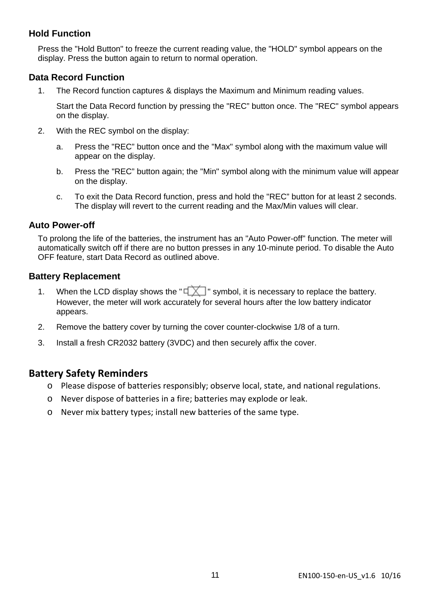### **Hold Function**

Press the "Hold Button" to freeze the current reading value, the "HOLD" symbol appears on the display. Press the button again to return to normal operation.

### **Data Record Function**

1. The Record function captures & displays the Maximum and Minimum reading values.

Start the Data Record function by pressing the "REC" button once. The "REC" symbol appears on the display.

- 2. With the REC symbol on the display:
	- a. Press the "REC" button once and the "Max" symbol along with the maximum value will appear on the display.
	- b. Press the "REC" button again; the "Min" symbol along with the minimum value will appear on the display.
	- c. To exit the Data Record function, press and hold the "REC" button for at least 2 seconds. The display will revert to the current reading and the Max/Min values will clear.

#### **Auto Power-off**

To prolong the life of the batteries, the instrument has an "Auto Power-off" function. The meter will automatically switch off if there are no button presses in any 10-minute period. To disable the Auto OFF feature, start Data Record as outlined above.

#### **Battery Replacement**

- 1. When the LCD display shows the " $\sqrt{X}$ " symbol, it is necessary to replace the battery. However, the meter will work accurately for several hours after the low battery indicator appears.
- 2. Remove the battery cover by turning the cover counter-clockwise 1/8 of a turn.
- 3. Install a fresh CR2032 battery (3VDC) and then securely affix the cover.

## **Battery Safety Reminders**

- o Please dispose of batteries responsibly; observe local, state, and national regulations.
- o Never dispose of batteries in a fire; batteries may explode or leak.
- o Never mix battery types; install new batteries of the same type.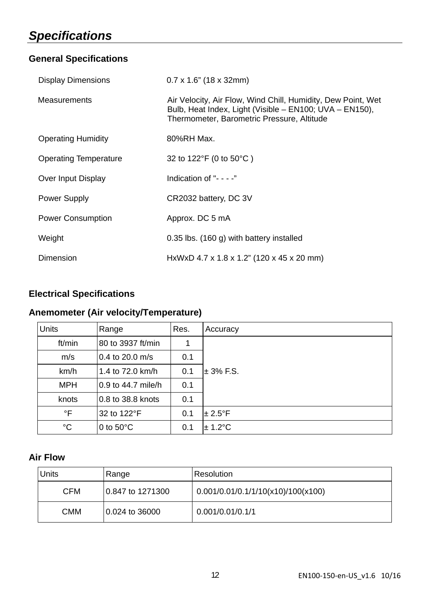## *Specifications*

## **General Specifications**

| <b>Display Dimensions</b>    | $0.7 \times 1.6$ " (18 x 32mm)                                                                                                                                        |  |
|------------------------------|-----------------------------------------------------------------------------------------------------------------------------------------------------------------------|--|
| <b>Measurements</b>          | Air Velocity, Air Flow, Wind Chill, Humidity, Dew Point, Wet<br>Bulb, Heat Index, Light (Visible - EN100; UVA - EN150),<br>Thermometer, Barometric Pressure, Altitude |  |
| <b>Operating Humidity</b>    | 80%RH Max.                                                                                                                                                            |  |
| <b>Operating Temperature</b> | 32 to 122°F (0 to 50°C)                                                                                                                                               |  |
| Over Input Display           | Indication of "- - - -"                                                                                                                                               |  |
| Power Supply                 | CR2032 battery, DC 3V                                                                                                                                                 |  |
| <b>Power Consumption</b>     | Approx. DC 5 mA                                                                                                                                                       |  |
| Weight                       | 0.35 lbs. (160 g) with battery installed                                                                                                                              |  |
| Dimension                    | HxWxD 4.7 x 1.8 x 1.2" (120 x 45 x 20 mm)                                                                                                                             |  |

## **Electrical Specifications**

## **Anemometer (Air velocity/Temperature)**

| <b>Units</b> | Range               | Res. | Accuracy          |
|--------------|---------------------|------|-------------------|
| ft/min       | 80 to 3937 ft/min   |      |                   |
| m/s          | $0.4$ to 20.0 m/s   | 0.1  |                   |
| km/h         | 1.4 to 72.0 km/h    | 0.1  | $± 3%$ F.S.       |
| <b>MPH</b>   | 0.9 to 44.7 mile/h  | 0.1  |                   |
| knots        | 0.8 to 38.8 knots   | 0.1  |                   |
| °F           | 32 to 122°F         | 0.1  | $± 2.5^{\circ}$ F |
| °C           | 0 to $50^{\circ}$ C | 0.1  | $± 1.2^{\circ}$ C |

## **Air Flow**

| <b>Units</b> | Range            | Resolution                         |
|--------------|------------------|------------------------------------|
| <b>CFM</b>   | 0.847 to 1271300 | 0.001/0.01/0.1/1/10(x10)/100(x100) |
| <b>CMM</b>   | 10.024 to 36000  | 0.001/0.01/0.1/1                   |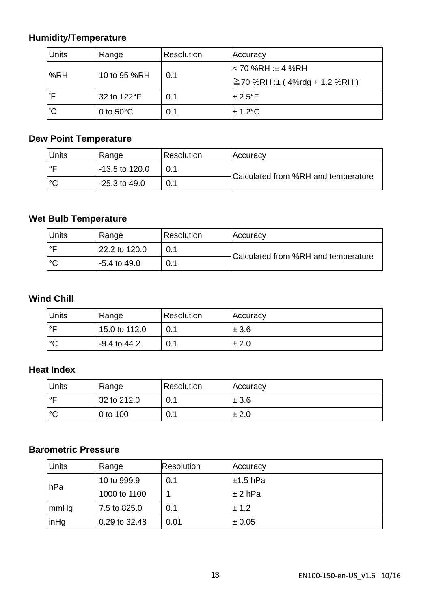## **Humidity/Temperature**

| Units | Range               | Resolution<br>Accuracy |                                    |
|-------|---------------------|------------------------|------------------------------------|
|       | 10 to 95 %RH        | 0.1                    | l< 70 %RH :± 4 %RH                 |
| %RH   |                     |                        | $\geq$ 70 %RH :± (4%rdg + 1.2 %RH) |
| °F    | 32 to 122°F         | 0.1                    | $± 2.5^{\circ}F$                   |
| °С    | 0 to $50^{\circ}$ C | 0.1                    | $\pm$ 1.2°C                        |

## **Dew Point Temperature**

| <b>Units</b> | Range          | Resolution | Accuracy                            |  |
|--------------|----------------|------------|-------------------------------------|--|
| ∣∘⊏          | -13.5 to 120.0 |            |                                     |  |
| l°С          | -25.3 to 49.0  | 0.1        | Calculated from %RH and temperature |  |

## **Wet Bulb Temperature**

| <b>Units</b> | Range          | Resolution | Accuracy                            |  |
|--------------|----------------|------------|-------------------------------------|--|
| ∣∘⊏          | 22.2 to 120.0  | 0.1        |                                     |  |
| $\circ$      | $-5.4$ to 49.0 | 0.1        | Calculated from %RH and temperature |  |

## **Wind Chill**

| <b>Units</b> | Range         | Resolution | Accuracy  |
|--------------|---------------|------------|-----------|
| ∣∘⊏          | 15.0 to 112.0 | 0.1        | $\pm 3.6$ |
| °€           | -9.4 to 44.2  | 0.1        | $\pm 2.0$ |

## **Heat Index**

| <b>Units</b> | Range       | Resolution | Accuracy  |
|--------------|-------------|------------|-----------|
| $\circ$      | 32 to 212.0 | 0.1        | ± 3.6     |
| $^{\circ}$   | 0 to 100    | 0.1        | $\pm 2.0$ |

## **Barometric Pressure**

| <b>Units</b> | Range         | <b>Resolution</b> | Accuracy      |
|--------------|---------------|-------------------|---------------|
| hPa          | 10 to 999.9   | 0.1               | $\pm 1.5$ hPa |
|              | 1000 to 1100  |                   | $\pm 2$ hPa   |
| mmHg         | 7.5 to 825.0  | 0.1               | ± 1.2         |
| inHg         | 0.29 to 32.48 | 0.01              | $\pm 0.05$    |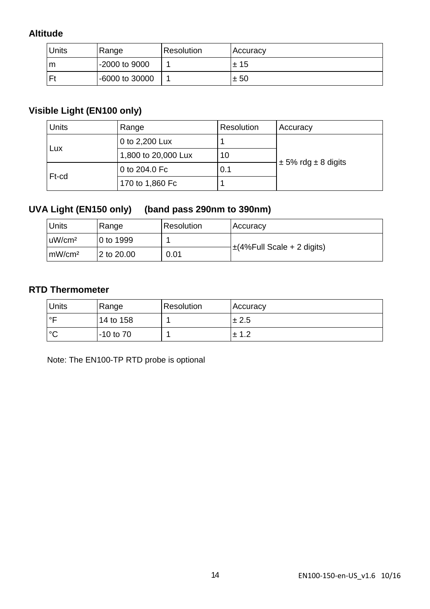## **Altitude**

| Units | Range          | Resolution | Accuracy |
|-------|----------------|------------|----------|
| m     | -2000 to 9000  |            | ±15      |
| Ft    | -6000 to 30000 |            | ± 50     |

## **Visible Light (EN100 only)**

| <b>Units</b> | Range               | <b>Resolution</b> | Accuracy                    |
|--------------|---------------------|-------------------|-----------------------------|
| Lux          | 0 to 2,200 Lux      |                   |                             |
|              | 1,800 to 20,000 Lux | 10                |                             |
| Ft-cd        | 0 to 204.0 Fc       | 0.1               | $\pm$ 5% rdg $\pm$ 8 digits |
|              | 170 to 1,860 Fc     |                   |                             |

## **UVA Light (EN150 only) (band pass 290nm to 390nm)**

| <b>Units</b>       | Range      | Resolution | Accuracy                        |
|--------------------|------------|------------|---------------------------------|
| uW/cm <sup>2</sup> | 0 to 1999  |            | $\pm$ (4%Full Scale + 2 digits) |
| mW/cm <sup>2</sup> | 2 to 20.00 | 0.01       |                                 |

### **RTD Thermometer**

| <b>Units</b> | Range         | Resolution | Accuracy  |
|--------------|---------------|------------|-----------|
| $\circ$      | 14 to 158     |            | $\pm 2.5$ |
| ം            | $-10$ to $70$ |            | ± 1.2     |

Note: The EN100-TP RTD probe is optional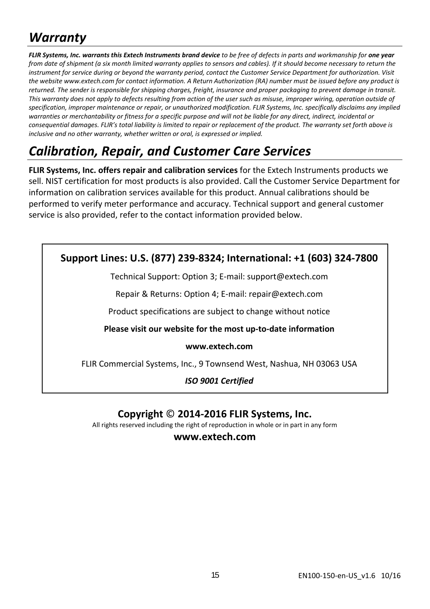## *Warranty*

FLIR Systems, Inc. warrants this Extech Instruments brand device to be free of defects in parts and workmanship for one year from date of shipment (a six month limited warranty applies to sensors and cables). If it should become necessary to return the instrument for service during or beyond the warranty period, contact the Customer Service Department for authorization. Visit the website www.extech.com for contact information. A Return Authorization (RA) number must be issued before any product is returned. The sender is responsible for shipping charges, freight, insurance and proper packaging to prevent damage in transit. This warranty does not apply to defects resulting from action of the user such as misuse, improper wiring, operation outside of specification, improper maintenance or repair, or unauthorized modification. FLIR Systems, Inc. specifically disclaims any implied warranties or merchantability or fitness for a specific purpose and will not be liable for any direct, indirect, incidental or consequential damages. FLIR's total liability is limited to repair or replacement of the product. The warranty set forth above is *inclusive and no other warranty, whether written or oral, is expressed or implied.*

## *Calibration, Repair, and Customer Care Services*

**FLIR Systems, Inc. offers repair and calibration services** for the Extech Instruments products we sell. NIST certification for most products is also provided. Call the Customer Service Department for information on calibration services available for this product. Annual calibrations should be performed to verify meter performance and accuracy. Technical support and general customer service is also provided, refer to the contact information provided below.

## **Support Lines: U.S. (877) 239‐8324; International: +1 (603) 324‐7800**

Technical Support: Option 3; E‐mail: support@extech.com

Repair & Returns: Option 4; E‐mail: repair@extech.com

Product specifications are subject to change without notice

**Please visit our website for the most up‐to‐date information**

#### **www.extech.com**

FLIR Commercial Systems, Inc., 9 Townsend West, Nashua, NH 03063 USA

*ISO 9001 Certified*

## **Copyright** © **2014‐2016 FLIR Systems, Inc.**

All rights reserved including the right of reproduction in whole or in part in any form

**www.extech.com**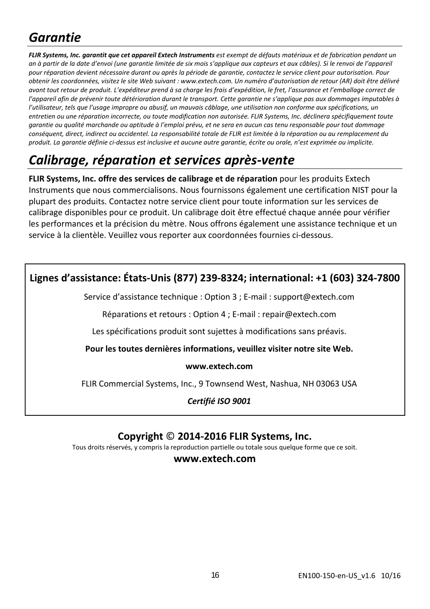## *Garantie*

FLIR Systems, Inc. garantit que cet appareil Extech Instruments est exempt de défauts matériaux et de fabrication pendant un an à partir de la date d'envoi (une garantie limitée de six mois s'applique aux capteurs et aux câbles). Si le renvoi de l'appareil pour réparation devient nécessaire durant ou après la période de garantie, contactez le service client pour autorisation. Pour obtenir les coordonnées, visitez le site Web suivant : www.extech.com. Un numéro d'autorisation de retour (AR) doit être délivré avant tout retour de produit. L'expéditeur prend à sa charae les frais d'expédition. le fret, l'assurance et l'emballage correct de l'appareil afin de prévenir toute détérioration durant le transport. Cette garantie ne s'applique pas aux dommages imputables à l'utilisateur, tels que l'usage impropre ou abusif, un mauvais câblage, une utilisation non conforme aux spécifications, un entretien ou une réparation incorrecte, ou toute modification non autorisée. FLIR Systems, Inc. déclinera spécifiquement toute garantie ou qualité marchande ou aptitude à l'emploi prévu, et ne sera en aucun cas tenu responsable pour tout dommage conséquent, direct, indirect ou accidentel. La responsabilité totale de FLIR est limitée à la réparation ou au remplacement du produit. La garantie définie ci-dessus est inclusive et aucune autre garantie, écrite ou orale, n'est exprimée ou implicite.

## *Calibrage, réparation et services après‐vente*

**FLIR Systems, Inc. offre des services de calibrage et de réparation** pour les produits Extech Instruments que nous commercialisons. Nous fournissons également une certification NIST pour la plupart des produits. Contactez notre service client pour toute information sur les services de calibrage disponibles pour ce produit. Un calibrage doit être effectué chaque année pour vérifier les performances et la précision du mètre. Nous offrons également une assistance technique et un service à la clientèle. Veuillez vous reporter aux coordonnées fournies ci‐dessous.

## **Lignes d'assistance: États‐Unis (877) 239‐8324; international: +1 (603) 324‐7800**

Service d'assistance technique : Option 3 ; E‐mail : support@extech.com

Réparations et retours : Option 4 ; E‐mail : repair@extech.com

Les spécifications produit sont sujettes à modifications sans préavis.

**Pour les toutes dernières informations, veuillez visiter notre site Web.**

#### **www.extech.com**

FLIR Commercial Systems, Inc., 9 Townsend West, Nashua, NH 03063 USA

*Certifié ISO 9001*

## **Copyright** © **2014‐2016 FLIR Systems, Inc.**

Tous droits réservés, y compris la reproduction partielle ou totale sous quelque forme que ce soit.

### **www.extech.com**